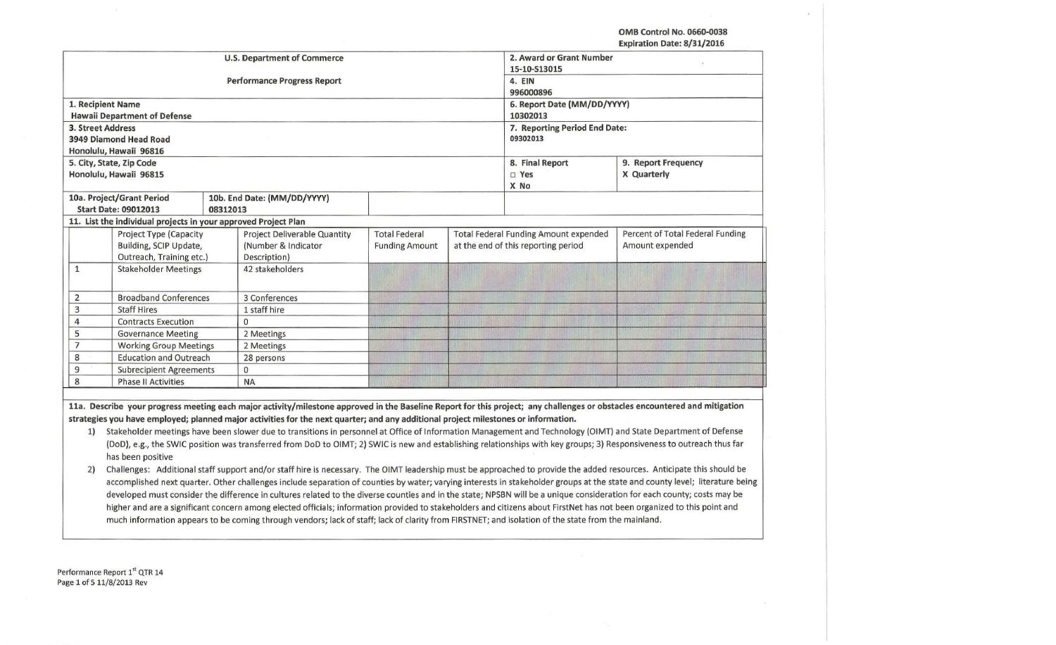**OMB Control No. 0660-0038** 

**Expiration Date: 8/31/2016** 

|                |                                                                |                                    |                                                                                                                                    |                       |              |                                              | Expiration Date: 8/31/2016                                                                                                                                                 |
|----------------|----------------------------------------------------------------|------------------------------------|------------------------------------------------------------------------------------------------------------------------------------|-----------------------|--------------|----------------------------------------------|----------------------------------------------------------------------------------------------------------------------------------------------------------------------------|
|                |                                                                |                                    | <b>U.S. Department of Commerce</b>                                                                                                 |                       |              | 2. Award or Grant Number                     |                                                                                                                                                                            |
|                |                                                                |                                    |                                                                                                                                    |                       | 15-10-S13015 |                                              |                                                                                                                                                                            |
|                |                                                                | <b>Performance Progress Report</b> | 4. EIN<br>996000896                                                                                                                |                       |              |                                              |                                                                                                                                                                            |
|                |                                                                |                                    |                                                                                                                                    |                       |              |                                              |                                                                                                                                                                            |
|                | 1. Recipient Name                                              |                                    |                                                                                                                                    |                       |              | 6. Report Date (MM/DD/YYYY)                  |                                                                                                                                                                            |
|                | <b>Hawaii Department of Defense</b>                            |                                    |                                                                                                                                    |                       |              | 10302013                                     |                                                                                                                                                                            |
|                | 3. Street Address                                              |                                    |                                                                                                                                    |                       |              | 7. Reporting Period End Date:                |                                                                                                                                                                            |
|                | 3949 Diamond Head Road                                         |                                    | 09302013                                                                                                                           |                       |              |                                              |                                                                                                                                                                            |
|                | Honolulu, Hawaii 96816                                         |                                    |                                                                                                                                    |                       |              |                                              |                                                                                                                                                                            |
|                | 5. City, State, Zip Code                                       |                                    |                                                                                                                                    |                       |              | 8. Final Report                              | 9. Report Frequency                                                                                                                                                        |
|                | Honolulu, Hawaii 96815                                         |                                    |                                                                                                                                    |                       |              | $\square$ Yes                                | X Quarterly                                                                                                                                                                |
|                |                                                                |                                    |                                                                                                                                    |                       |              | X No                                         |                                                                                                                                                                            |
|                | 10a. Project/Grant Period                                      |                                    | 10b. End Date: (MM/DD/YYYY)                                                                                                        |                       |              |                                              |                                                                                                                                                                            |
|                | <b>Start Date: 09012013</b>                                    | 08312013                           |                                                                                                                                    |                       |              |                                              |                                                                                                                                                                            |
|                | 11. List the individual projects in your approved Project Plan |                                    |                                                                                                                                    |                       |              |                                              |                                                                                                                                                                            |
|                | Project Type (Capacity                                         |                                    | <b>Project Deliverable Quantity</b>                                                                                                | <b>Total Federal</b>  |              | <b>Total Federal Funding Amount expended</b> | Percent of Total Federal Funding                                                                                                                                           |
|                | Building, SCIP Update,                                         |                                    | (Number & Indicator                                                                                                                | <b>Funding Amount</b> |              | at the end of this reporting period          | Amount expended                                                                                                                                                            |
|                | Outreach, Training etc.)                                       |                                    | Description)                                                                                                                       |                       |              |                                              |                                                                                                                                                                            |
| $\mathbf{1}$   | <b>Stakeholder Meetings</b>                                    |                                    | 42 stakeholders                                                                                                                    |                       |              |                                              |                                                                                                                                                                            |
|                |                                                                |                                    |                                                                                                                                    |                       |              |                                              |                                                                                                                                                                            |
| 2              | <b>Broadband Conferences</b>                                   |                                    | 3 Conferences                                                                                                                      |                       |              |                                              |                                                                                                                                                                            |
| $\overline{3}$ | <b>Staff Hires</b>                                             |                                    | 1 staff hire                                                                                                                       |                       |              |                                              |                                                                                                                                                                            |
| $\overline{4}$ | <b>Contracts Execution</b>                                     |                                    | $\Omega$                                                                                                                           |                       |              |                                              |                                                                                                                                                                            |
| 5              | <b>Governance Meeting</b>                                      |                                    | 2 Meetings                                                                                                                         |                       |              |                                              |                                                                                                                                                                            |
| $\overline{7}$ | <b>Working Group Meetings</b>                                  |                                    | 2 Meetings                                                                                                                         |                       |              |                                              |                                                                                                                                                                            |
| $\,$ 8 $\,$    | <b>Education and Outreach</b>                                  |                                    | 28 persons                                                                                                                         |                       |              |                                              |                                                                                                                                                                            |
| 9              | <b>Subrecipient Agreements</b>                                 |                                    | $\mathbf{O}$                                                                                                                       |                       |              |                                              |                                                                                                                                                                            |
| 8              | <b>Phase II Activities</b>                                     |                                    | <b>NA</b>                                                                                                                          |                       |              |                                              |                                                                                                                                                                            |
|                |                                                                |                                    |                                                                                                                                    |                       |              |                                              |                                                                                                                                                                            |
|                |                                                                |                                    |                                                                                                                                    |                       |              |                                              | 11a. Describe your progress meeting each major activity/milestone approved in the Baseline Report for this project; any challenges or obstacles encountered and mitigation |
|                |                                                                |                                    | strategies you have employed; planned major activities for the next quarter; and any additional project milestones or information. |                       |              |                                              |                                                                                                                                                                            |
| 1)             |                                                                |                                    |                                                                                                                                    |                       |              |                                              | Stakeholder meetings have been slower due to transitions in personnel at Office of Information Management and Technology (OIMT) and State Department of Defense            |
|                |                                                                |                                    |                                                                                                                                    |                       |              |                                              | (DoD), e.g., the SWIC position was transferred from DoD to OIMT; 2) SWIC is new and establishing relationships with key groups; 3) Responsiveness to outreach thus far     |
|                | has been positive                                              |                                    |                                                                                                                                    |                       |              |                                              |                                                                                                                                                                            |
|                |                                                                |                                    |                                                                                                                                    |                       |              |                                              |                                                                                                                                                                            |

2) Challenges: Additional staff support and/or staff hire is necessary. The OIMT leadership must be approached to provide the added resources. Anticipate this should be accomplished next quarter. Other challenges include separation of counties by water; varying interests in stakeholder groups at the state and county level; literature being developed must consider the difference in cultures related to the diverse counties and in the state; NPSBN will be a unique consideration for each county; costs may be higher and are a significant concern among elected officials; information provided to stakeholders and citizens about FirstNet has not been organized to this point and much information appears to be coming through vendors; lack of staff; lack of clarity from FIRSTNET; and isolation of the state from the mainland.

Performance Report 1st QTR 14 Page 1 of 5 11/8/2013 Rev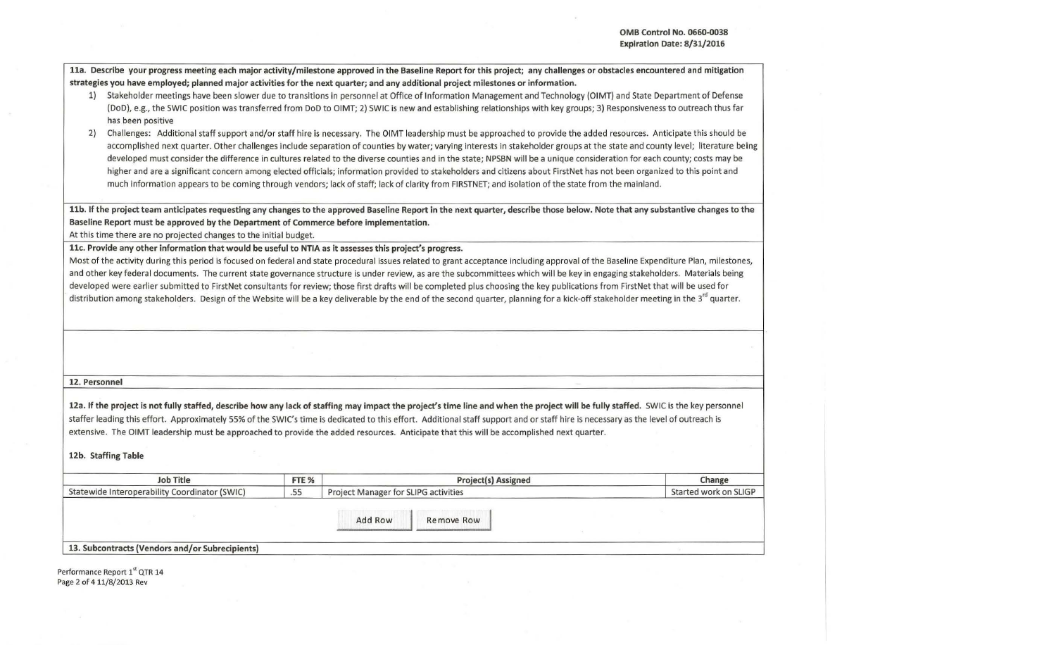11a. Describe your progress meeting each major activity/milestone approved in the Baseline Report for this project; any challenges or obstacles encountered and mitigation strategies you have employed; planned major activities for the next quarter; and any additional project milestones or information.

- 1) Stakeholder meetings have been slower due to transitions in personnel at Office of Information Management and Technology (OIMT) and State Department of Defense (DoD), e.g., the SWIC position was transferred from DoD to OIMT; 2) SWIC is new and establishing relationships with key groups; 3) Responsiveness to outreach thus far has been positive
- 2) Challenges: Additional staff support and/or staff hire is necessary. The OIMT leadership must be approached to provide the added resources. Anticipate this should be accomplished next quarter. Other challenges include separation of counties by water; varying interests in stakeholder groups at the state and county level; literature being developed must consider the difference in cultures related to the diverse counties and in the state; NPSBN will be a unique consideration for each county; costs may be higher and are a significant concern among elected officials; information provided to stakeholders and citizens about FirstNet has not been organized to this point and much information appears to be coming through vendors; lack of staff; lack of clarity from FIRSTNET; and isolation of the state from the mainland.

llb. If the project team anticipates requesting any changes to the approved Baseline Report in the next quarter, describe those below. Note that any substantive changes to the Baseline Report must be approved by the Department of Commerce before implementation.

At this time there are no projected changes to the initial budget.

llc. Provide any other information that would be useful to NTIA as it assesses this project's progress.

Most of the activity during this period is focused on federal and state procedural issues related to grant acceptance including approval of the Baseline Expenditure Plan, milestones, and other key federal documents. The current state governance structure is under review, as are the subcommittees which will be key in engaging stakeholders. Materials being developed were earlier submitted to FirstNet consultants for review; those first drafts will be completed plus choosing the key publications from FirstNet that will be used for distribution among stakeholders. Design of the Website will be a key deliverable by the end of the second quarter, planning for a kick-off stakeholder meeting in the 3<sup>rd</sup> quarter.

## 12. Personnel

12a. If the project is not fully staffed, describe how any lack of staffing may impact the project's time line and when the project will be fully staffed. SWIC is the key personnel staffer leading this effort. Approximately 55% of the SWIC's time is dedicated to this effort. Additional staff support and or staff hire is necessary as the level of outreach is extensive. The OIMT leadership must be approached to provide the added resources. Anticipate that this will be accomplished next quarter.

12b. Staffing Table

| Job Title                                       | FTE % | <b>Project(s) Assigned</b>           | Change                |
|-------------------------------------------------|-------|--------------------------------------|-----------------------|
| Statewide Interoperability Coordinator (SWIC)   | .55   | Project Manager for SLIPG activities | Started work on SLIGP |
|                                                 |       | Add Row<br>Remove Row                |                       |
| 13. Subcontracts (Vendors and/or Subrecipients) |       |                                      |                       |

Performance Report 1<sup>st</sup> QTR 14 Page 2 of 4 11/8/2013 Rev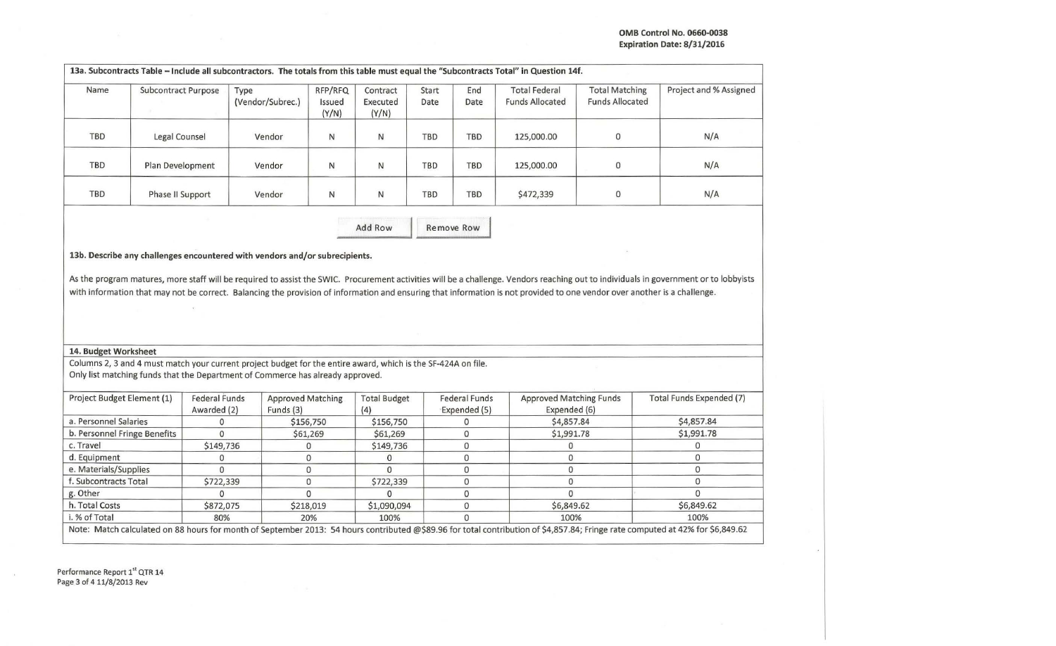| Name                                                                                                                                                               | Subcontract Purpose | Type<br>(Vendor/Subrec.)                                                                                                                                                                        | RFP/RFQ<br>Issued<br>(Y/N) | Contract<br>Executed<br>(Y/N) | Start<br>Date | End<br>Date                          | <b>Total Federal</b><br><b>Funds Allocated</b> | <b>Total Matching</b><br><b>Funds Allocated</b> | Project and % Assigned                                                                                                                                                                |
|--------------------------------------------------------------------------------------------------------------------------------------------------------------------|---------------------|-------------------------------------------------------------------------------------------------------------------------------------------------------------------------------------------------|----------------------------|-------------------------------|---------------|--------------------------------------|------------------------------------------------|-------------------------------------------------|---------------------------------------------------------------------------------------------------------------------------------------------------------------------------------------|
| <b>TBD</b>                                                                                                                                                         | Legal Counsel       | Vendor                                                                                                                                                                                          | N                          | N                             | <b>TBD</b>    | <b>TBD</b>                           | 125,000.00                                     | 0                                               | N/A                                                                                                                                                                                   |
| <b>TBD</b>                                                                                                                                                         | Plan Development    | Vendor                                                                                                                                                                                          | N                          | N                             | <b>TBD</b>    | TBD                                  | 125,000.00                                     | 0                                               | N/A                                                                                                                                                                                   |
| TBD                                                                                                                                                                | Phase II Support    | Vendor                                                                                                                                                                                          | N                          | N                             | <b>TBD</b>    | <b>TBD</b>                           | \$472,339                                      | 0                                               | N/A                                                                                                                                                                                   |
|                                                                                                                                                                    |                     |                                                                                                                                                                                                 |                            | Add Row                       |               | Remove Row                           |                                                |                                                 |                                                                                                                                                                                       |
|                                                                                                                                                                    |                     | with information that may not be correct. Balancing the provision of information and ensuring that information is not provided to one vendor over another is a challenge.                       |                            |                               |               |                                      |                                                |                                                 | As the program matures, more staff will be required to assist the SWIC. Procurement activities will be a challenge. Vendors reaching out to individuals in government or to lobbyists |
| 14. Budget Worksheet                                                                                                                                               |                     |                                                                                                                                                                                                 |                            |                               |               |                                      |                                                |                                                 |                                                                                                                                                                                       |
|                                                                                                                                                                    |                     | Columns 2, 3 and 4 must match your current project budget for the entire award, which is the SF-424A on file.<br>Only list matching funds that the Department of Commerce has already approved. |                            |                               |               |                                      |                                                |                                                 |                                                                                                                                                                                       |
| Project Budget Element (1)                                                                                                                                         |                     |                                                                                                                                                                                                 |                            |                               |               |                                      |                                                |                                                 |                                                                                                                                                                                       |
|                                                                                                                                                                    | Awarded (2)         | <b>Federal Funds</b><br><b>Approved Matching</b><br>Funds (3)                                                                                                                                   |                            | <b>Total Budget</b><br>(4)    |               | <b>Federal Funds</b><br>Expended (5) | <b>Approved Matching Funds</b><br>Expended (6) |                                                 | Total Funds Expended (7)                                                                                                                                                              |
|                                                                                                                                                                    | $\mathbf 0$         |                                                                                                                                                                                                 | \$156,750                  | \$156,750                     |               | 0                                    | \$4,857.84                                     |                                                 | \$4,857.84                                                                                                                                                                            |
|                                                                                                                                                                    | $\Omega$            |                                                                                                                                                                                                 | \$61,269                   | \$61,269                      |               | 0                                    | \$1,991.78                                     |                                                 | \$1,991.78                                                                                                                                                                            |
|                                                                                                                                                                    | \$149,736           |                                                                                                                                                                                                 | $\mathbf 0$                | \$149,736                     |               | 0                                    | 0                                              |                                                 | 0                                                                                                                                                                                     |
|                                                                                                                                                                    | 0                   |                                                                                                                                                                                                 | $\mathbf 0$                | $\mathbf{O}$                  |               | 0                                    | 0                                              |                                                 | 0                                                                                                                                                                                     |
|                                                                                                                                                                    | 0                   |                                                                                                                                                                                                 | 0                          | $\mathbf{0}$                  |               | 0                                    | 0                                              |                                                 | $\mathbf 0$                                                                                                                                                                           |
|                                                                                                                                                                    | \$722,339           |                                                                                                                                                                                                 | $\mathbf 0$                | \$722,339                     |               | 0                                    | 0                                              |                                                 | 0                                                                                                                                                                                     |
|                                                                                                                                                                    | 0                   |                                                                                                                                                                                                 | $\mathbf 0$                | $\Omega$                      |               | 0                                    | 0                                              |                                                 | 0                                                                                                                                                                                     |
| a. Personnel Salaries<br>b. Personnel Fringe Benefits<br>c. Travel<br>d. Equipment<br>e. Materials/Supplies<br>f. Subcontracts Total<br>g. Other<br>h. Total Costs | \$872,075           |                                                                                                                                                                                                 | \$218,019                  | \$1,090,094                   |               | 0                                    | \$6,849.62                                     |                                                 | \$6,849.62                                                                                                                                                                            |

Note: Match calculated on 88 hours for month of September 2013: 54 hours contributed @\$89.96 for total contribution of \$4,857.84; Fringe rate computed at 42% for \$6,849.62

Performance Report 1<sup>st</sup> QTR 14 Page 3 of 4 11/8/2013 Rev

 $\sim$  1.